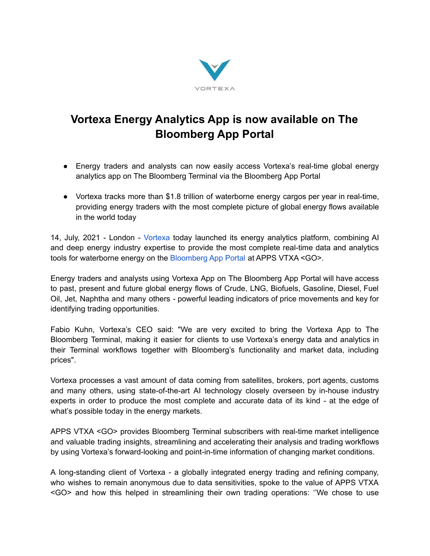

## **Vortexa Energy Analytics App is now available on The Bloomberg App Portal**

- Energy traders and analysts can now easily access Vortexa's real-time global energy analytics app on The Bloomberg Terminal via the Bloomberg App Portal
- Vortexa tracks more than \$1.8 trillion of waterborne energy cargos per year in real-time, providing energy traders with the most complete picture of global energy flows available in the world today

14, July, 2021 - London - [Vortexa](https://www.vortexa.com/) today launched its energy analytics platform, combining AI and deep energy industry expertise to provide the most complete real-time data and analytics tools for waterborne energy on the [Bloomberg](https://bba.bloomberg.net/?utm_source=bloomberg-menu&utm_medium=terminal) App Portal at APPS VTXA <GO>.

Energy traders and analysts using Vortexa App on The Bloomberg App Portal will have access to past, present and future global energy flows of Crude, LNG, Biofuels, Gasoline, Diesel, Fuel Oil, Jet, Naphtha and many others - powerful leading indicators of price movements and key for identifying trading opportunities.

Fabio Kuhn, Vortexa's CEO said: "We are very excited to bring the Vortexa App to The Bloomberg Terminal, making it easier for clients to use Vortexa's energy data and analytics in their Terminal workflows together with Bloomberg's functionality and market data, including prices".

Vortexa processes a vast amount of data coming from satellites, brokers, port agents, customs and many others, using state-of-the-art AI technology closely overseen by in-house industry experts in order to produce the most complete and accurate data of its kind - at the edge of what's possible today in the energy markets.

APPS VTXA <GO> provides Bloomberg Terminal subscribers with real-time market intelligence and valuable trading insights, streamlining and accelerating their analysis and trading workflows by using Vortexa's forward-looking and point-in-time information of changing market conditions.

A long-standing client of Vortexa - a globally integrated energy trading and refining company, who wishes to remain anonymous due to data sensitivities, spoke to the value of APPS VTXA <GO> and how this helped in streamlining their own trading operations: ''We chose to use